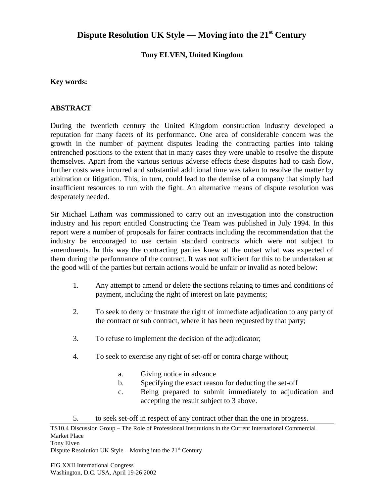# **Dispute Resolution UK Style — Moving into the 21st Century**

## **Tony ELVEN, United Kingdom**

#### **Key words:**

### **ABSTRACT**

During the twentieth century the United Kingdom construction industry developed a reputation for many facets of its performance. One area of considerable concern was the growth in the number of payment disputes leading the contracting parties into taking entrenched positions to the extent that in many cases they were unable to resolve the dispute themselves. Apart from the various serious adverse effects these disputes had to cash flow, further costs were incurred and substantial additional time was taken to resolve the matter by arbitration or litigation. This, in turn, could lead to the demise of a company that simply had insufficient resources to run with the fight. An alternative means of dispute resolution was desperately needed.

Sir Michael Latham was commissioned to carry out an investigation into the construction industry and his report entitled Constructing the Team was published in July 1994. In this report were a number of proposals for fairer contracts including the recommendation that the industry be encouraged to use certain standard contracts which were not subject to amendments. In this way the contracting parties knew at the outset what was expected of them during the performance of the contract. It was not sufficient for this to be undertaken at the good will of the parties but certain actions would be unfair or invalid as noted below:

- 1. Any attempt to amend or delete the sections relating to times and conditions of payment, including the right of interest on late payments;
- 2. To seek to deny or frustrate the right of immediate adjudication to any party of the contract or sub contract, where it has been requested by that party;
- 3. To refuse to implement the decision of the adjudicator;
- 4. To seek to exercise any right of set-off or contra charge without;
	- a. Giving notice in advance
	- b. Specifying the exact reason for deducting the set-off
	- c. Being prepared to submit immediately to adjudication and accepting the result subject to 3 above.
- 5. to seek set-off in respect of any contract other than the one in progress.

TS10.4 Discussion Group – The Role of Professional Institutions in the Current International Commercial Market Place Tony Elven Dispute Resolution UK Style – Moving into the  $21<sup>st</sup>$  Century